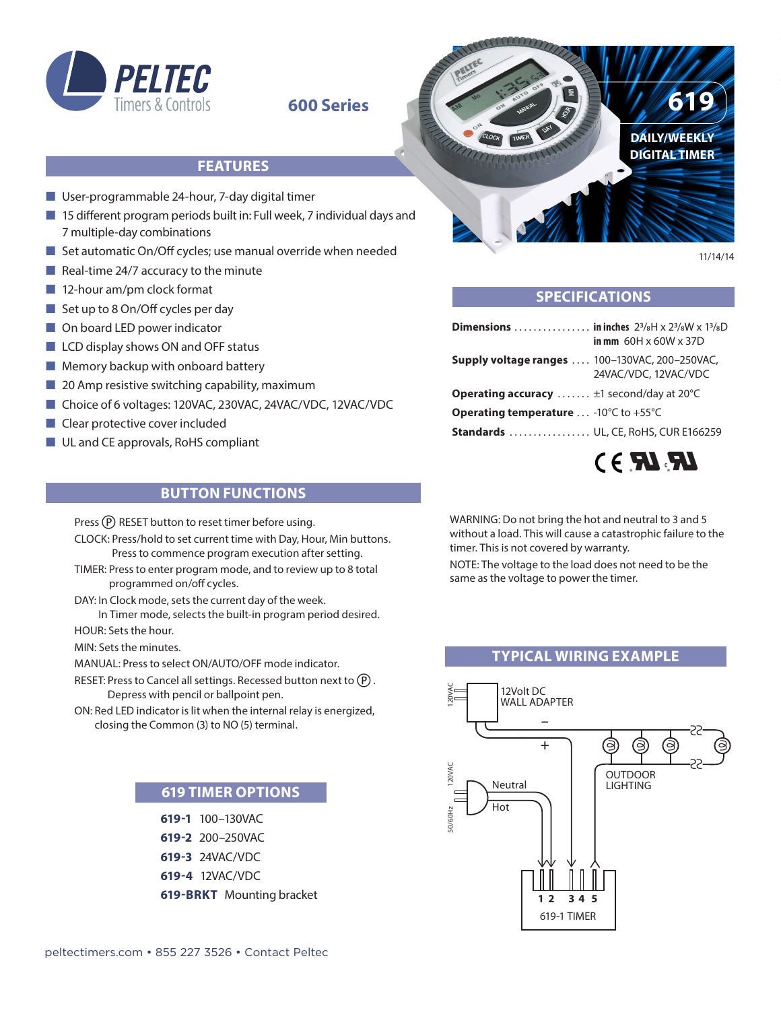

### **600 Series**

#### **FEATURES**

- User-programmable 24-hour, 7-day digital timer
- $\blacksquare$  15 different program periods built in: Full week, 7 individual days and 7 multiple-day combinations
- $\blacksquare$  Set automatic On/Off cycles; use manual override when needed
- $\blacksquare$  Real-time 24/7 accuracy to the minute
- $\blacksquare$  12-hour am/pm clock format
- $\blacksquare$  Set up to 8 On/Off cycles per day
- On board LED power indicator
- $\blacksquare$  LCD display shows ON and OFF status
- $\blacksquare$  Memory backup with onboard battery
- $\Box$  20 Amp resistive switching capability, maximum
- Choice of 6 voltages: 120VAC, 230VAC, 24VAC/VDC, 12VAC/VDC
- $\blacksquare$  Clear protective cover included
- UL and CE approvals, RoHS compliant



#### **SPECIFICATIONS**

| <b>Dimensions</b> in inches $2^{3}/8H \times 2^{3}/8W \times 1^{3}/8D$ | in mm $60H \times 60W \times 37D$ |
|------------------------------------------------------------------------|-----------------------------------|
| <b>Supply voltage ranges  100-130VAC, 200-250VAC,</b>                  | 24VAC/VDC, 12VAC/VDC              |
| <b>Operating accuracy</b> $\pm 1$ second/day at 20 $^{\circ}$ C        |                                   |
| <b>Operating temperature</b> -10 $^{\circ}$ C to +55 $^{\circ}$ C      |                                   |
| <b>Standards</b> UL, CE, RoHS, CUR E166259                             |                                   |

## $LRMR$

11/14/14

#### **BUTTON FUNCTIONS**

Press (P) RESET button to reset timer before using.

- CLOCK: Press/hold to set current time with Day, Hour, Min buttons. Press to commence program execution after setting.
- TIMER: Press to enter program mode, and to review up to 8 total programmed on/off cycles.
- DAY: In Clock mode, sets the current day of the week. In Timer mode, selects the built-in program period desired.
- HOUR: Sets the hour.
- MIN: Sets the minutes.

MANUAL: Press to select ON/AUTO/OFF mode indicator.

- RESET: Press to Cancel all settings. Recessed button next to  $(P)$ . Depress with pencil or ballpoint pen.
- ON: Red LED indicator is lit when the internal relay is energized, closing the Common (3) to NO (5) terminal.

#### **619 TIMER OPTIONS**

**619-1** 100–130VAC **619-2** 200–250VAC **619-3** 24VAC/VDC **619-4** 12VAC/VDC **619-BRKT** Mounting bracket WARNING: Do not bring the hot and neutral to 3 and 5 without a load. This will cause a catastrophic failure to the timer. This is not covered by warranty.

NOTE: The voltage to the load does not need to be the same as the voltage to power the timer.

### **TYPICAL WIRING EXAMPLE**



[peltectimers.com • 855 227 3526 • Contact Peltec](http://www.peltectimers.com/site/contact.php)